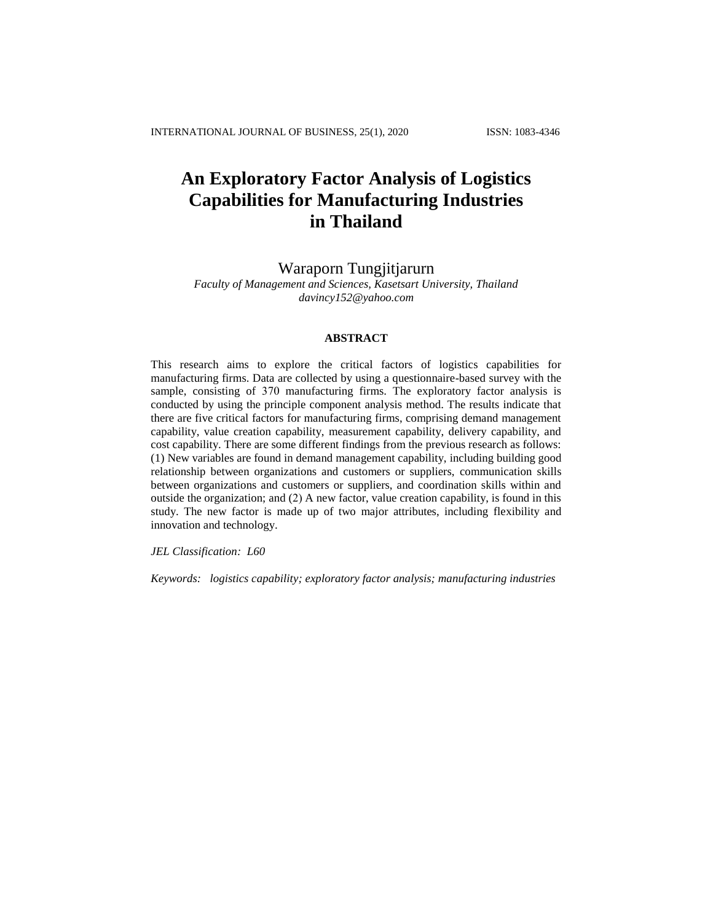# **An Exploratory Factor Analysis of Logistics Capabilities for Manufacturing Industries in Thailand**

# Waraporn Tungjitjarurn

*Faculty of Management and Sciences, Kasetsart University, Thailand davincy152@yahoo.com*

## **ABSTRACT**

This research aims to explore the critical factors of logistics capabilities for manufacturing firms. Data are collected by using a questionnaire-based survey with the sample, consisting of 370 manufacturing firms. The exploratory factor analysis is conducted by using the principle component analysis method. The results indicate that there are five critical factors for manufacturing firms, comprising demand management capability, value creation capability, measurement capability, delivery capability, and cost capability. There are some different findings from the previous research as follows: (1) New variables are found in demand management capability, including building good relationship between organizations and customers or suppliers, communication skills between organizations and customers or suppliers, and coordination skills within and outside the organization; and (2) A new factor, value creation capability, is found in this study. The new factor is made up of two major attributes, including flexibility and innovation and technology.

*JEL Classification: L60*

*Keywords: logistics capability; exploratory factor analysis; manufacturing industries*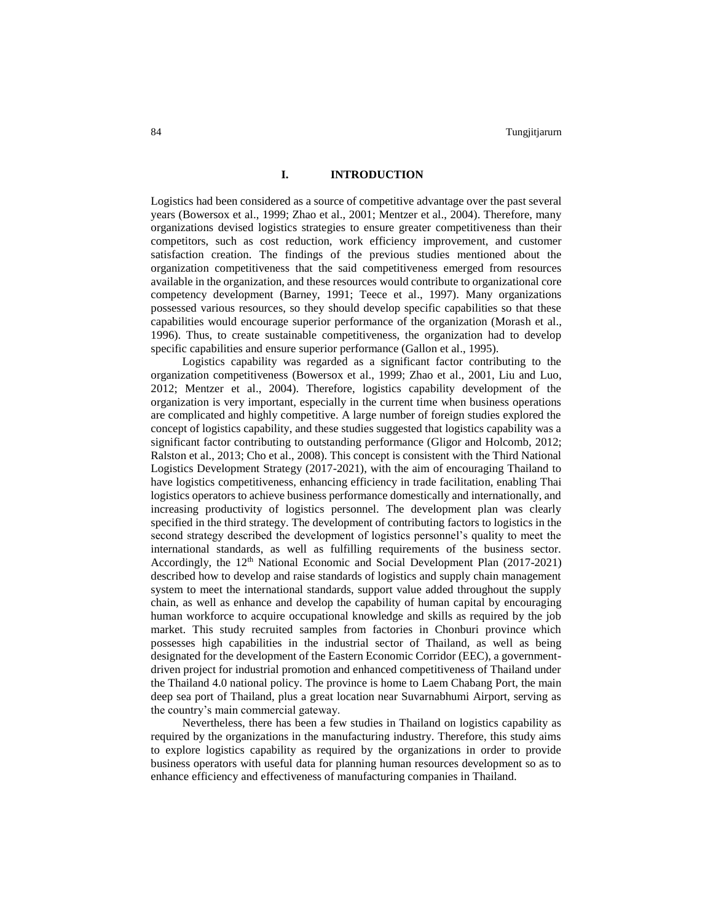# **I. INTRODUCTION**

Logistics had been considered as a source of competitive advantage over the past several years (Bowersox et al., 1999; Zhao et al., 2001; Mentzer et al., 2004). Therefore, many organizations devised logistics strategies to ensure greater competitiveness than their competitors, such as cost reduction, work efficiency improvement, and customer satisfaction creation. The findings of the previous studies mentioned about the organization competitiveness that the said competitiveness emerged from resources available in the organization, and these resources would contribute to organizational core competency development (Barney, 1991; Teece et al., 1997). Many organizations possessed various resources, so they should develop specific capabilities so that these capabilities would encourage superior performance of the organization (Morash et al., 1996). Thus, to create sustainable competitiveness, the organization had to develop specific capabilities and ensure superior performance (Gallon et al., 1995).

Logistics capability was regarded as a significant factor contributing to the organization competitiveness (Bowersox et al., 1999; Zhao et al., 2001, Liu and Luo, 2012; Mentzer et al., 2004). Therefore, logistics capability development of the organization is very important, especially in the current time when business operations are complicated and highly competitive. A large number of foreign studies explored the concept of logistics capability, and these studies suggested that logistics capability was a significant factor contributing to outstanding performance (Gligor and Holcomb, 2012; Ralston et al., 2013; Cho et al., 2008). This concept is consistent with the Third National Logistics Development Strategy (2017-2021), with the aim of encouraging Thailand to have logistics competitiveness, enhancing efficiency in trade facilitation, enabling Thai logistics operators to achieve business performance domestically and internationally, and increasing productivity of logistics personnel. The development plan was clearly specified in the third strategy. The development of contributing factors to logistics in the second strategy described the development of logistics personnel's quality to meet the international standards, as well as fulfilling requirements of the business sector. Accordingly, the 12th National Economic and Social Development Plan (2017-2021) described how to develop and raise standards of logistics and supply chain management system to meet the international standards, support value added throughout the supply chain, as well as enhance and develop the capability of human capital by encouraging human workforce to acquire occupational knowledge and skills as required by the job market. This study recruited samples from factories in Chonburi province which possesses high capabilities in the industrial sector of Thailand, as well as being designated for the development of the Eastern Economic Corridor (EEC), a governmentdriven project for industrial promotion and enhanced competitiveness of Thailand under the Thailand 4.0 national policy. The province is home to Laem Chabang Port, the main deep sea port of Thailand, plus a great location near Suvarnabhumi Airport, serving as the country's main commercial gateway.

Nevertheless, there has been a few studies in Thailand on logistics capability as required by the organizations in the manufacturing industry. Therefore, this study aims to explore logistics capability as required by the organizations in order to provide business operators with useful data for planning human resources development so as to enhance efficiency and effectiveness of manufacturing companies in Thailand.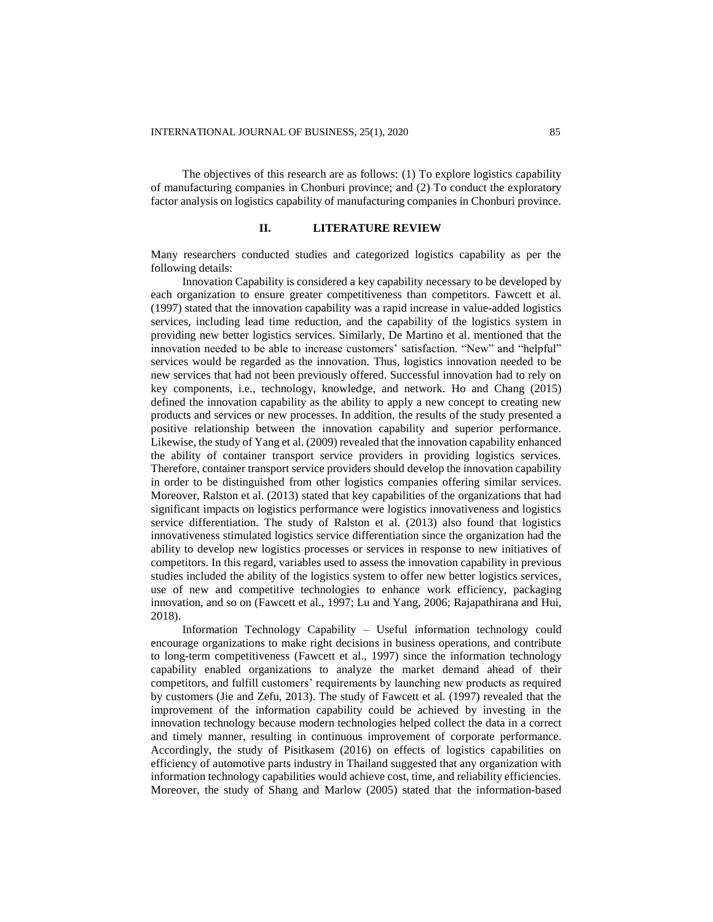The objectives of this research are as follows: (1) To explore logistics capability of manufacturing companies in Chonburi province; and (2) To conduct the exploratory factor analysis on logistics capability of manufacturing companies in Chonburi province.

#### **II. LITERATURE REVIEW**

Many researchers conducted studies and categorized logistics capability as per the following details:

Innovation Capability is considered a key capability necessary to be developed by each organization to ensure greater competitiveness than competitors. Fawcett et al. (1997) stated that the innovation capability was a rapid increase in value-added logistics services, including lead time reduction, and the capability of the logistics system in providing new better logistics services. Similarly, De Martino et al. mentioned that the innovation needed to be able to increase customers' satisfaction. "New" and "helpful" services would be regarded as the innovation. Thus, logistics innovation needed to be new services that had not been previously offered. Successful innovation had to rely on key components, i.e., technology, knowledge, and network. Ho and Chang (2015) defined the innovation capability as the ability to apply a new concept to creating new products and services or new processes. In addition, the results of the study presented a positive relationship between the innovation capability and superior performance. Likewise, the study of Yang et al. (2009) revealed that the innovation capability enhanced the ability of container transport service providers in providing logistics services. Therefore, container transport service providers should develop the innovation capability in order to be distinguished from other logistics companies offering similar services. Moreover, Ralston et al. (2013) stated that key capabilities of the organizations that had significant impacts on logistics performance were logistics innovativeness and logistics service differentiation. The study of Ralston et al. (2013) also found that logistics innovativeness stimulated logistics service differentiation since the organization had the ability to develop new logistics processes or services in response to new initiatives of competitors. In this regard, variables used to assess the innovation capability in previous studies included the ability of the logistics system to offer new better logistics services, use of new and competitive technologies to enhance work efficiency, packaging innovation, and so on (Fawcett et al., 1997; Lu and Yang, 2006; Rajapathirana and Hui, 2018).

Information Technology Capability – Useful information technology could encourage organizations to make right decisions in business operations, and contribute to long-term competitiveness (Fawcett et al., 1997) since the information technology capability enabled organizations to analyze the market demand ahead of their competitors, and fulfill customers' requirements by launching new products as required by customers (Jie and Zefu, 2013). The study of Fawcett et al. (1997) revealed that the improvement of the information capability could be achieved by investing in the innovation technology because modern technologies helped collect the data in a correct and timely manner, resulting in continuous improvement of corporate performance. Accordingly, the study of Pisitkasem (2016) on effects of logistics capabilities on efficiency of automotive parts industry in Thailand suggested that any organization with information technology capabilities would achieve cost, time, and reliability efficiencies. Moreover, the study of Shang and Marlow (2005) stated that the information-based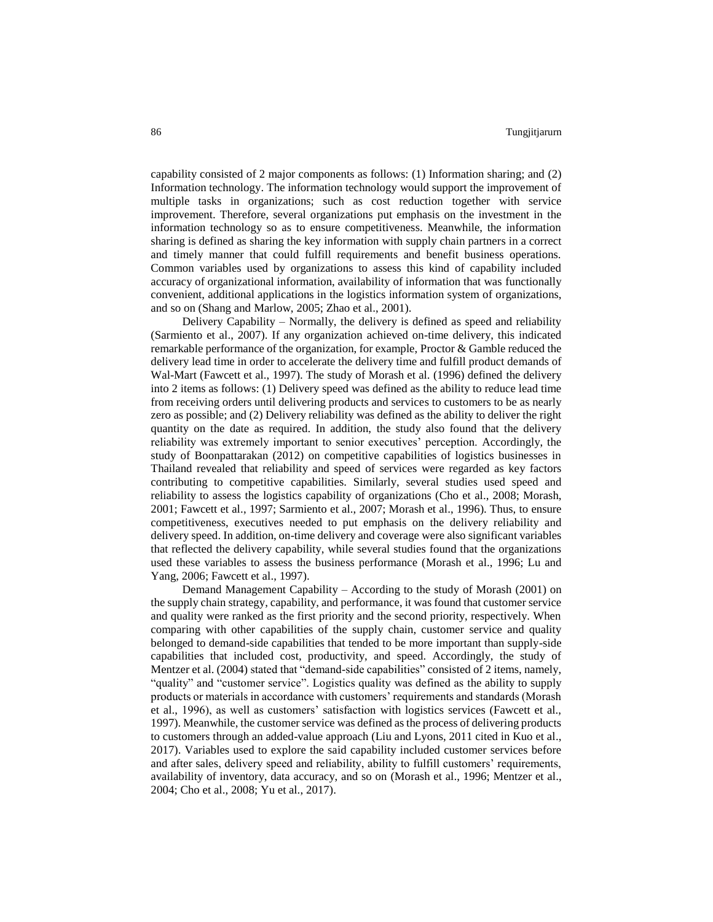capability consisted of 2 major components as follows: (1) Information sharing; and (2) Information technology. The information technology would support the improvement of multiple tasks in organizations; such as cost reduction together with service improvement. Therefore, several organizations put emphasis on the investment in the information technology so as to ensure competitiveness. Meanwhile, the information sharing is defined as sharing the key information with supply chain partners in a correct and timely manner that could fulfill requirements and benefit business operations. Common variables used by organizations to assess this kind of capability included accuracy of organizational information, availability of information that was functionally convenient, additional applications in the logistics information system of organizations, and so on (Shang and Marlow, 2005; Zhao et al., 2001).

Delivery Capability – Normally, the delivery is defined as speed and reliability (Sarmiento et al., 2007). If any organization achieved on-time delivery, this indicated remarkable performance of the organization, for example, Proctor & Gamble reduced the delivery lead time in order to accelerate the delivery time and fulfill product demands of Wal-Mart (Fawcett et al., 1997). The study of Morash et al. (1996) defined the delivery into 2 items as follows: (1) Delivery speed was defined as the ability to reduce lead time from receiving orders until delivering products and services to customers to be as nearly zero as possible; and (2) Delivery reliability was defined as the ability to deliver the right quantity on the date as required. In addition, the study also found that the delivery reliability was extremely important to senior executives' perception. Accordingly, the study of Boonpattarakan (2012) on competitive capabilities of logistics businesses in Thailand revealed that reliability and speed of services were regarded as key factors contributing to competitive capabilities. Similarly, several studies used speed and reliability to assess the logistics capability of organizations (Cho et al., 2008; Morash, 2001; Fawcett et al., 1997; Sarmiento et al., 2007; Morash et al., 1996). Thus, to ensure competitiveness, executives needed to put emphasis on the delivery reliability and delivery speed. In addition, on-time delivery and coverage were also significant variables that reflected the delivery capability, while several studies found that the organizations used these variables to assess the business performance (Morash et al., 1996; Lu and Yang, 2006; Fawcett et al., 1997).

Demand Management Capability – According to the study of Morash (2001) on the supply chain strategy, capability, and performance, it was found that customer service and quality were ranked as the first priority and the second priority, respectively. When comparing with other capabilities of the supply chain, customer service and quality belonged to demand-side capabilities that tended to be more important than supply-side capabilities that included cost, productivity, and speed. Accordingly, the study of Mentzer et al. (2004) stated that "demand-side capabilities" consisted of 2 items, namely, "quality" and "customer service". Logistics quality was defined as the ability to supply products or materials in accordance with customers' requirements and standards (Morash et al., 1996), as well as customers' satisfaction with logistics services (Fawcett et al., 1997). Meanwhile, the customer service was defined as the process of delivering products to customers through an added-value approach (Liu and Lyons, 2011 cited in Kuo et al., 2017). Variables used to explore the said capability included customer services before and after sales, delivery speed and reliability, ability to fulfill customers' requirements, availability of inventory, data accuracy, and so on (Morash et al., 1996; Mentzer et al., 2004; Cho et al., 2008; Yu et al., 2017).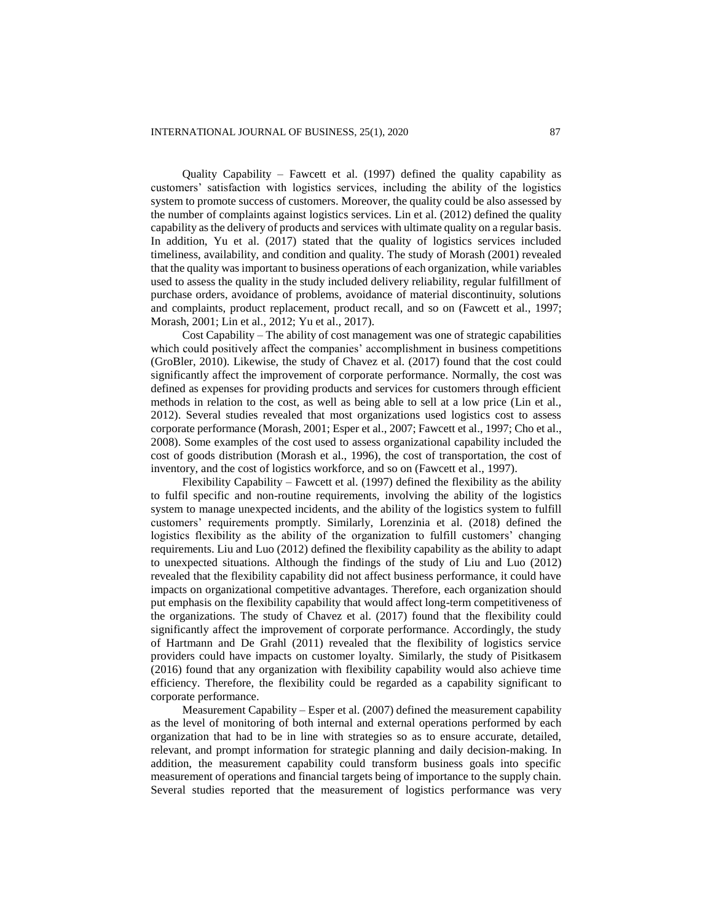Quality Capability – Fawcett et al. (1997) defined the quality capability as customers' satisfaction with logistics services, including the ability of the logistics system to promote success of customers. Moreover, the quality could be also assessed by the number of complaints against logistics services. Lin et al. (2012) defined the quality capability as the delivery of products and services with ultimate quality on a regular basis. In addition, Yu et al. (2017) stated that the quality of logistics services included timeliness, availability, and condition and quality. The study of Morash (2001) revealed that the quality was important to business operations of each organization, while variables used to assess the quality in the study included delivery reliability, regular fulfillment of purchase orders, avoidance of problems, avoidance of material discontinuity, solutions and complaints, product replacement, product recall, and so on (Fawcett et al., 1997; Morash, 2001; Lin et al., 2012; Yu et al., 2017).

Cost Capability – The ability of cost management was one of strategic capabilities which could positively affect the companies' accomplishment in business competitions (GroBler, 2010). Likewise, the study of Chavez et al. (2017) found that the cost could significantly affect the improvement of corporate performance. Normally, the cost was defined as expenses for providing products and services for customers through efficient methods in relation to the cost, as well as being able to sell at a low price (Lin et al., 2012). Several studies revealed that most organizations used logistics cost to assess corporate performance (Morash, 2001; Esper et al., 2007; Fawcett et al., 1997; Cho et al., 2008). Some examples of the cost used to assess organizational capability included the cost of goods distribution (Morash et al., 1996), the cost of transportation, the cost of inventory, and the cost of logistics workforce, and so on (Fawcett et al., 1997).

Flexibility Capability – Fawcett et al. (1997) defined the flexibility as the ability to fulfil specific and non-routine requirements, involving the ability of the logistics system to manage unexpected incidents, and the ability of the logistics system to fulfill customers' requirements promptly. Similarly, Lorenzinia et al. (2018) defined the logistics flexibility as the ability of the organization to fulfill customers' changing requirements. Liu and Luo (2012) defined the flexibility capability as the ability to adapt to unexpected situations. Although the findings of the study of Liu and Luo (2012) revealed that the flexibility capability did not affect business performance, it could have impacts on organizational competitive advantages. Therefore, each organization should put emphasis on the flexibility capability that would affect long-term competitiveness of the organizations. The study of Chavez et al. (2017) found that the flexibility could significantly affect the improvement of corporate performance. Accordingly, the study of Hartmann and De Grahl (2011) revealed that the flexibility of logistics service providers could have impacts on customer loyalty. Similarly, the study of Pisitkasem (2016) found that any organization with flexibility capability would also achieve time efficiency. Therefore, the flexibility could be regarded as a capability significant to corporate performance.

Measurement Capability – Esper et al. (2007) defined the measurement capability as the level of monitoring of both internal and external operations performed by each organization that had to be in line with strategies so as to ensure accurate, detailed, relevant, and prompt information for strategic planning and daily decision-making. In addition, the measurement capability could transform business goals into specific measurement of operations and financial targets being of importance to the supply chain. Several studies reported that the measurement of logistics performance was very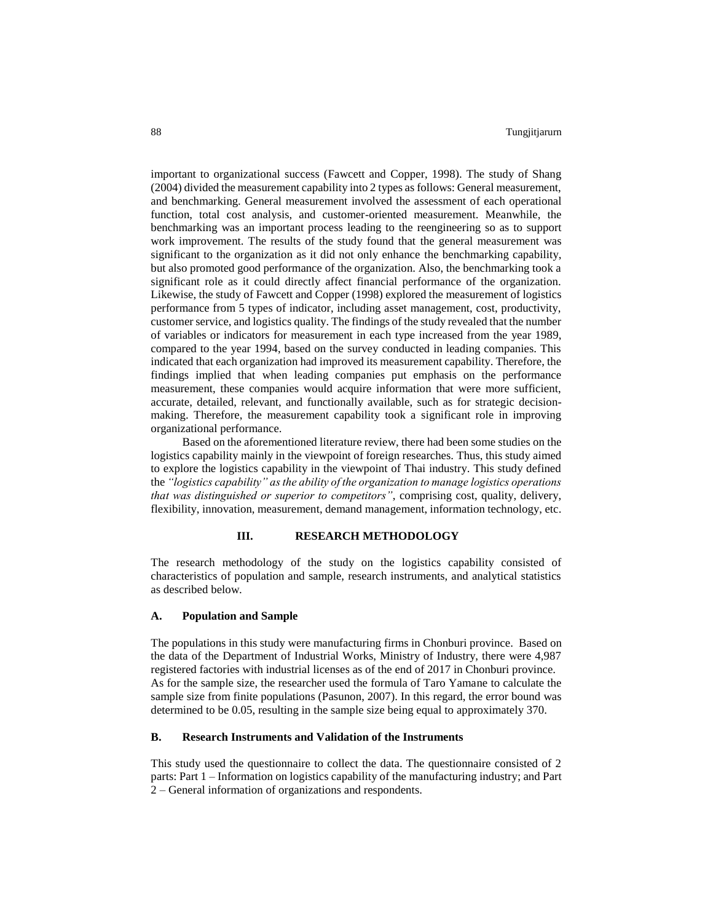important to organizational success (Fawcett and Copper, 1998). The study of Shang (2004) divided the measurement capability into 2 types as follows: General measurement, and benchmarking. General measurement involved the assessment of each operational function, total cost analysis, and customer-oriented measurement. Meanwhile, the benchmarking was an important process leading to the reengineering so as to support work improvement. The results of the study found that the general measurement was significant to the organization as it did not only enhance the benchmarking capability, but also promoted good performance of the organization. Also, the benchmarking took a significant role as it could directly affect financial performance of the organization. Likewise, the study of Fawcett and Copper (1998) explored the measurement of logistics performance from 5 types of indicator, including asset management, cost, productivity, customer service, and logistics quality. The findings of the study revealed that the number of variables or indicators for measurement in each type increased from the year 1989, compared to the year 1994, based on the survey conducted in leading companies. This indicated that each organization had improved its measurement capability. Therefore, the findings implied that when leading companies put emphasis on the performance measurement, these companies would acquire information that were more sufficient, accurate, detailed, relevant, and functionally available, such as for strategic decisionmaking. Therefore, the measurement capability took a significant role in improving organizational performance.

Based on the aforementioned literature review, there had been some studies on the logistics capability mainly in the viewpoint of foreign researches. Thus, this study aimed to explore the logistics capability in the viewpoint of Thai industry. This study defined the *"logistics capability" as the ability of the organization to manage logistics operations that was distinguished or superior to competitors"*, comprising cost, quality, delivery, flexibility, innovation, measurement, demand management, information technology, etc.

# **III. RESEARCH METHODOLOGY**

The research methodology of the study on the logistics capability consisted of characteristics of population and sample, research instruments, and analytical statistics as described below.

# **A. Population and Sample**

The populations in this study were manufacturing firms in Chonburi province. Based on the data of the Department of Industrial Works, Ministry of Industry, there were 4,987 registered factories with industrial licenses as of the end of 2017 in Chonburi province. As for the sample size, the researcher used the formula of Taro Yamane to calculate the sample size from finite populations (Pasunon, 2007). In this regard, the error bound was determined to be 0.05, resulting in the sample size being equal to approximately 370.

# **B. Research Instruments and Validation of the Instruments**

This study used the questionnaire to collect the data. The questionnaire consisted of 2 parts: Part 1 – Information on logistics capability of the manufacturing industry; and Part 2 – General information of organizations and respondents.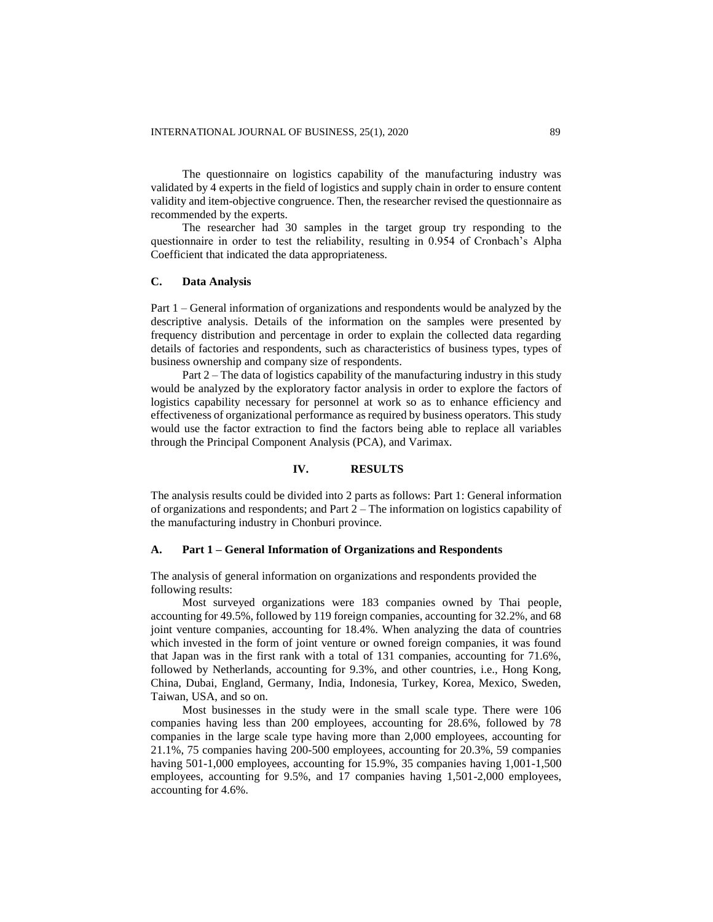The questionnaire on logistics capability of the manufacturing industry was validated by 4 experts in the field of logistics and supply chain in order to ensure content validity and item-objective congruence. Then, the researcher revised the questionnaire as recommended by the experts.

The researcher had 30 samples in the target group try responding to the questionnaire in order to test the reliability, resulting in 0.954 of Cronbach's Alpha Coefficient that indicated the data appropriateness.

# **C. Data Analysis**

Part 1 – General information of organizations and respondents would be analyzed by the descriptive analysis. Details of the information on the samples were presented by frequency distribution and percentage in order to explain the collected data regarding details of factories and respondents, such as characteristics of business types, types of business ownership and company size of respondents.

Part 2 – The data of logistics capability of the manufacturing industry in this study would be analyzed by the exploratory factor analysis in order to explore the factors of logistics capability necessary for personnel at work so as to enhance efficiency and effectiveness of organizational performance as required by business operators. This study would use the factor extraction to find the factors being able to replace all variables through the Principal Component Analysis (PCA), and Varimax.

# **IV. RESULTS**

The analysis results could be divided into 2 parts as follows: Part 1: General information of organizations and respondents; and Part 2 – The information on logistics capability of the manufacturing industry in Chonburi province.

#### **A. Part 1 – General Information of Organizations and Respondents**

The analysis of general information on organizations and respondents provided the following results:

Most surveyed organizations were 183 companies owned by Thai people, accounting for 49.5%, followed by 119 foreign companies, accounting for 32.2%, and 68 joint venture companies, accounting for 18.4%. When analyzing the data of countries which invested in the form of joint venture or owned foreign companies, it was found that Japan was in the first rank with a total of 131 companies, accounting for 71.6%, followed by Netherlands, accounting for 9.3%, and other countries, i.e., Hong Kong, China, Dubai, England, Germany, India, Indonesia, Turkey, Korea, Mexico, Sweden, Taiwan, USA, and so on.

Most businesses in the study were in the small scale type. There were 106 companies having less than 200 employees, accounting for 28.6%, followed by 78 companies in the large scale type having more than 2,000 employees, accounting for 21.1%, 75 companies having 200-500 employees, accounting for 20.3%, 59 companies having 501-1,000 employees, accounting for 15.9%, 35 companies having 1,001-1,500 employees, accounting for 9.5%, and 17 companies having 1,501-2,000 employees, accounting for 4.6%.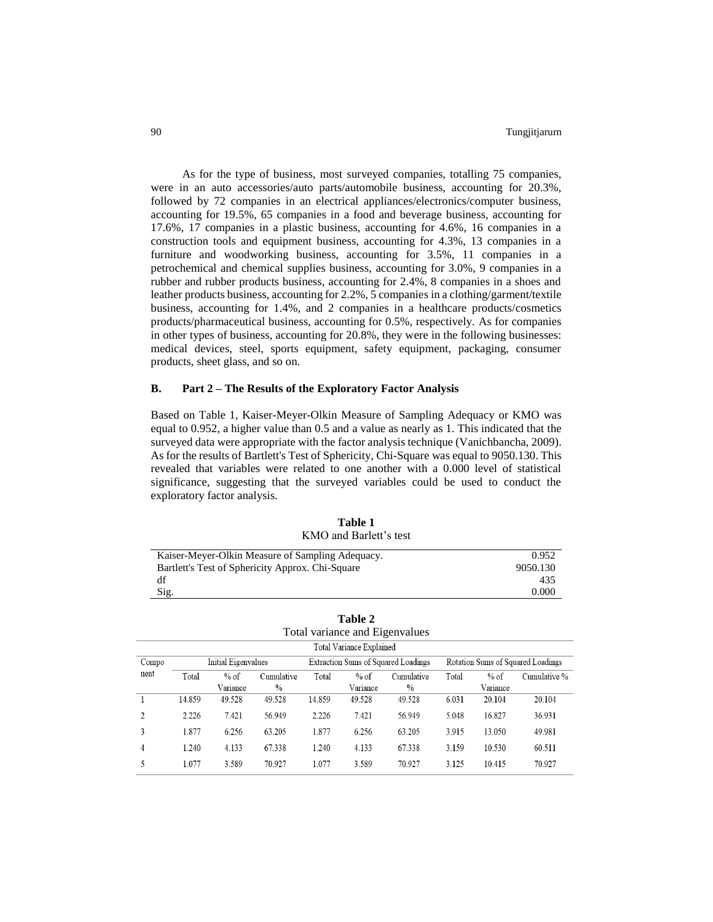As for the type of business, most surveyed companies, totalling 75 companies, were in an auto accessories/auto parts/automobile business, accounting for 20.3%, followed by 72 companies in an electrical appliances/electronics/computer business, accounting for 19.5%, 65 companies in a food and beverage business, accounting for 17.6%, 17 companies in a plastic business, accounting for 4.6%, 16 companies in a construction tools and equipment business, accounting for 4.3%, 13 companies in a furniture and woodworking business, accounting for 3.5%, 11 companies in a petrochemical and chemical supplies business, accounting for 3.0%, 9 companies in a rubber and rubber products business, accounting for 2.4%, 8 companies in a shoes and leather products business, accounting for 2.2%, 5 companies in a clothing/garment/textile business, accounting for 1.4%, and 2 companies in a healthcare products/cosmetics products/pharmaceutical business, accounting for 0.5%, respectively. As for companies in other types of business, accounting for 20.8%, they were in the following businesses: medical devices, steel, sports equipment, safety equipment, packaging, consumer products, sheet glass, and so on.

# **B. Part 2 – The Results of the Exploratory Factor Analysis**

Based on Table 1, Kaiser-Meyer-Olkin Measure of Sampling Adequacy or KMO was equal to 0.952, a higher value than 0.5 and a value as nearly as 1. This indicated that the surveyed data were appropriate with the factor analysis technique (Vanichbancha, 2009). As for the results of Bartlett's Test of Sphericity, Chi-Square was equal to 9050.130. This revealed that variables were related to one another with a 0.000 level of statistical significance, suggesting that the surveyed variables could be used to conduct the exploratory factor analysis.

| <u>intro</u> and barren s test                   |          |
|--------------------------------------------------|----------|
| Kaiser-Meyer-Olkin Measure of Sampling Adequacy. | 0.952    |
| Bartlett's Test of Sphericity Approx. Chi-Square | 9050.130 |
| df                                               | 435      |
| Sig.                                             | 0.000    |

| Table 1                |  |
|------------------------|--|
| KMO and Barlett's test |  |

| Table 2<br>Total variance and Eigenvalues |        |                     |               |        |                                 |                                     |       |          |                                   |
|-------------------------------------------|--------|---------------------|---------------|--------|---------------------------------|-------------------------------------|-------|----------|-----------------------------------|
|                                           |        |                     |               |        | <b>Total Variance Explained</b> |                                     |       |          |                                   |
| Compo                                     |        | Initial Eigenvalues |               |        |                                 | Extraction Sums of Squared Loadings |       |          | Rotation Sums of Squared Loadings |
| nent                                      | Total  | $%$ of              | Cumulative    | Total  | $%$ of                          | Cumulative                          | Total | $%$ of   | Cumulative %                      |
|                                           |        | Variance            | $\frac{0}{0}$ |        | Variance                        | $\%$                                |       | Variance |                                   |
|                                           | 14.859 | 49.528              | 49.528        | 14.859 | 49.528                          | 49.528                              | 6.031 | 20.104   | 20.104                            |
| 2                                         | 2.226  | 7.421               | 56.949        | 2.226  | 7.421                           | 56.949                              | 5.048 | 16.827   | 36.931                            |
| 3                                         | 1.877  | 6.256               | 63.205        | 1.877  | 6.256                           | 63.205                              | 3.915 | 13.050   | 49.981                            |
| 4                                         | 1.240  | 4.133               | 67.338        | 1.240  | 4.133                           | 67.338                              | 3.159 | 10.530   | 60.511                            |
| 5                                         | 1.077  | 3.589               | 70.927        | 1.077  | 3.589                           | 70.927                              | 3.125 | 10.415   | 70.927                            |

|  | KMO and Barlett's tes |  |
|--|-----------------------|--|
|  |                       |  |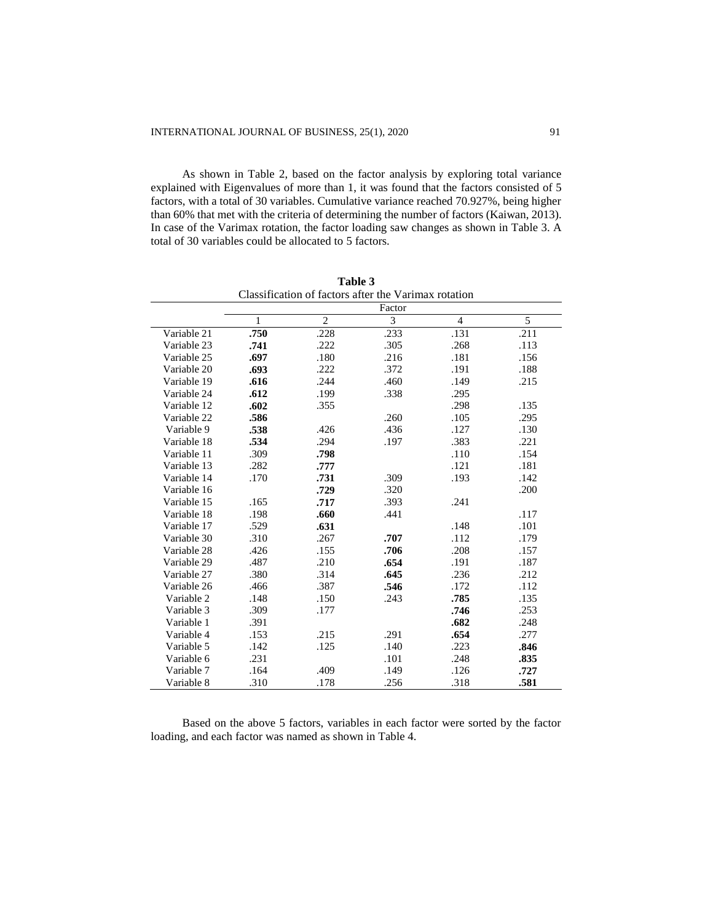As shown in Table 2, based on the factor analysis by exploring total variance explained with Eigenvalues of more than 1, it was found that the factors consisted of 5 factors, with a total of 30 variables. Cumulative variance reached 70.927%, being higher than 60% that met with the criteria of determining the number of factors (Kaiwan, 2013). In case of the Varimax rotation, the factor loading saw changes as shown in Table 3. A total of 30 variables could be allocated to 5 factors.

|             | Classification of factors after the Varimax rotation |                |      |                |      |
|-------------|------------------------------------------------------|----------------|------|----------------|------|
|             | Factor                                               |                |      |                |      |
|             | 1                                                    | $\mathfrak{2}$ | 3    | $\overline{4}$ | 5    |
| Variable 21 | .750                                                 | .228           | .233 | .131           | .211 |
| Variable 23 | .741                                                 | .222           | .305 | .268           | .113 |
| Variable 25 | .697                                                 | .180           | .216 | .181           | .156 |
| Variable 20 | .693                                                 | .222           | .372 | .191           | .188 |
| Variable 19 | .616                                                 | .244           | .460 | .149           | .215 |
| Variable 24 | .612                                                 | .199           | .338 | .295           |      |
| Variable 12 | .602                                                 | .355           |      | .298           | .135 |
| Variable 22 | .586                                                 |                | .260 | .105           | .295 |
| Variable 9  | .538                                                 | .426           | .436 | .127           | .130 |
| Variable 18 | .534                                                 | .294           | .197 | .383           | .221 |
| Variable 11 | .309                                                 | .798           |      | .110           | .154 |
| Variable 13 | .282                                                 | .777           |      | .121           | .181 |
| Variable 14 | .170                                                 | .731           | .309 | .193           | .142 |
| Variable 16 |                                                      | .729           | .320 |                | .200 |
| Variable 15 | .165                                                 | .717           | .393 | .241           |      |
| Variable 18 | .198                                                 | .660           | .441 |                | .117 |
| Variable 17 | .529                                                 | .631           |      | .148           | .101 |
| Variable 30 | .310                                                 | .267           | .707 | .112           | .179 |
| Variable 28 | .426                                                 | .155           | .706 | .208           | .157 |
| Variable 29 | .487                                                 | .210           | .654 | .191           | .187 |
| Variable 27 | .380                                                 | .314           | .645 | .236           | .212 |
| Variable 26 | .466                                                 | .387           | .546 | .172           | .112 |
| Variable 2  | .148                                                 | .150           | .243 | .785           | .135 |
| Variable 3  | .309                                                 | .177           |      | .746           | .253 |
| Variable 1  | .391                                                 |                |      | .682           | .248 |
| Variable 4  | .153                                                 | .215           | .291 | .654           | .277 |
| Variable 5  | .142                                                 | .125           | .140 | .223           | .846 |
| Variable 6  | .231                                                 |                | .101 | .248           | .835 |
| Variable 7  | .164                                                 | .409           | .149 | .126           | .727 |
| Variable 8  | .310                                                 | .178           | .256 | .318           | .581 |

**Table 3** Classification of factors after the Varimax rotation

Based on the above 5 factors, variables in each factor were sorted by the factor loading, and each factor was named as shown in Table 4.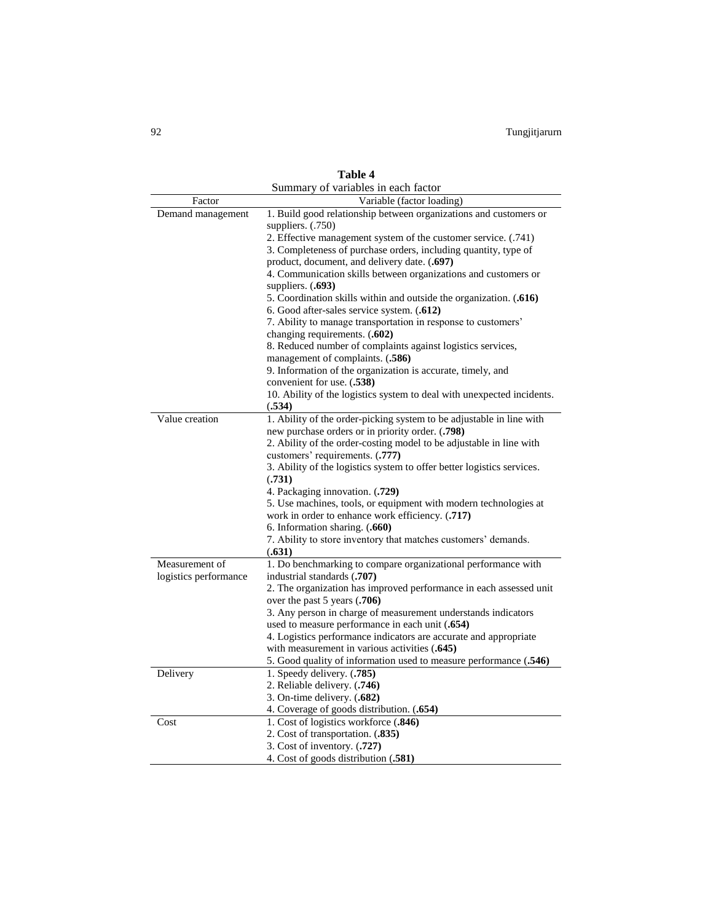|                       | Summary of variables in each factor                                                             |
|-----------------------|-------------------------------------------------------------------------------------------------|
| Factor                | Variable (factor loading)                                                                       |
| Demand management     | 1. Build good relationship between organizations and customers or                               |
|                       | suppliers. $(.750)$                                                                             |
|                       | 2. Effective management system of the customer service. (.741)                                  |
|                       | 3. Completeness of purchase orders, including quantity, type of                                 |
|                       | product, document, and delivery date. (.697)                                                    |
|                       | 4. Communication skills between organizations and customers or                                  |
|                       | suppliers. $(.693)$                                                                             |
|                       | 5. Coordination skills within and outside the organization. (.616)                              |
|                       | 6. Good after-sales service system. (.612)                                                      |
|                       | 7. Ability to manage transportation in response to customers'                                   |
|                       | changing requirements. (.602)                                                                   |
|                       | 8. Reduced number of complaints against logistics services,                                     |
|                       | management of complaints. (.586)<br>9. Information of the organization is accurate, timely, and |
|                       | convenient for use. (.538)                                                                      |
|                       | 10. Ability of the logistics system to deal with unexpected incidents.                          |
|                       | (.534)                                                                                          |
| Value creation        | 1. Ability of the order-picking system to be adjustable in line with                            |
|                       | new purchase orders or in priority order. (.798)                                                |
|                       | 2. Ability of the order-costing model to be adjustable in line with                             |
|                       | customers' requirements. (.777)                                                                 |
|                       | 3. Ability of the logistics system to offer better logistics services.                          |
|                       | (.731)                                                                                          |
|                       | 4. Packaging innovation. (.729)                                                                 |
|                       | 5. Use machines, tools, or equipment with modern technologies at                                |
|                       | work in order to enhance work efficiency. (.717)                                                |
|                       | 6. Information sharing. (.660)                                                                  |
|                       | 7. Ability to store inventory that matches customers' demands.                                  |
|                       | (.631)                                                                                          |
| Measurement of        | 1. Do benchmarking to compare organizational performance with                                   |
| logistics performance | industrial standards (.707)                                                                     |
|                       | 2. The organization has improved performance in each assessed unit                              |
|                       | over the past 5 years (.706)                                                                    |
|                       | 3. Any person in charge of measurement understands indicators                                   |
|                       | used to measure performance in each unit (.654)                                                 |
|                       | 4. Logistics performance indicators are accurate and appropriate                                |
|                       | with measurement in various activities (.645)                                                   |
|                       | 5. Good quality of information used to measure performance (.546)                               |
| Delivery              | 1. Speedy delivery. (.785)<br>2. Reliable delivery. (.746)                                      |
|                       | 3. On-time delivery. (.682)                                                                     |
|                       | 4. Coverage of goods distribution. (.654)                                                       |
| Cost                  | 1. Cost of logistics workforce (.846)                                                           |
|                       | 2. Cost of transportation. (.835)                                                               |
|                       | 3. Cost of inventory. (.727)                                                                    |
|                       | 4. Cost of goods distribution (.581)                                                            |
|                       |                                                                                                 |

**Table 4**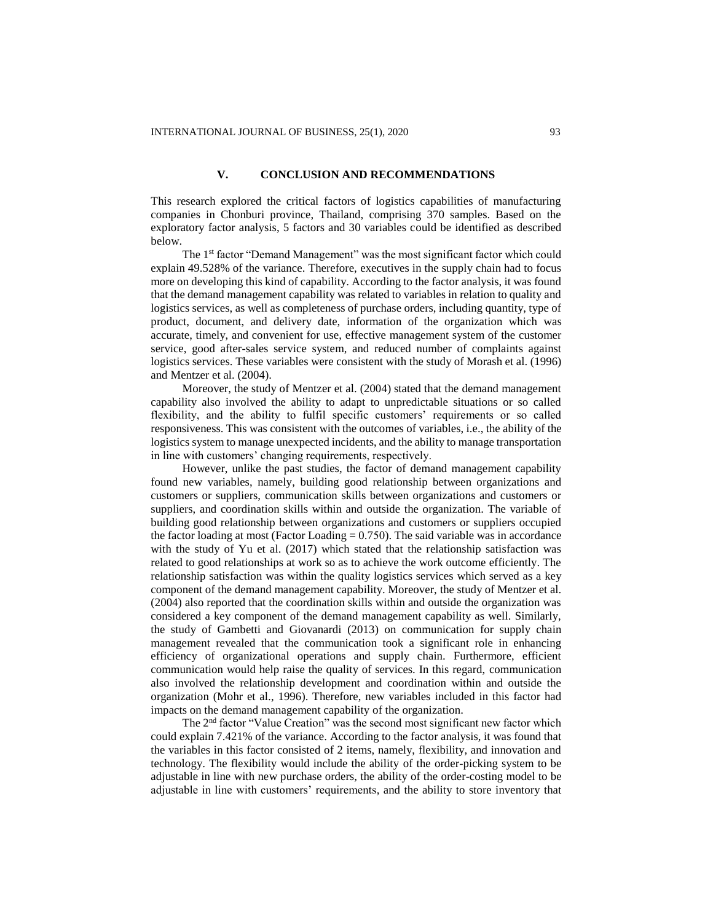# **V. CONCLUSION AND RECOMMENDATIONS**

This research explored the critical factors of logistics capabilities of manufacturing companies in Chonburi province, Thailand, comprising 370 samples. Based on the exploratory factor analysis, 5 factors and 30 variables could be identified as described below.

The 1<sup>st</sup> factor "Demand Management" was the most significant factor which could explain 49.528% of the variance. Therefore, executives in the supply chain had to focus more on developing this kind of capability. According to the factor analysis, it was found that the demand management capability was related to variables in relation to quality and logistics services, as well as completeness of purchase orders, including quantity, type of product, document, and delivery date, information of the organization which was accurate, timely, and convenient for use, effective management system of the customer service, good after-sales service system, and reduced number of complaints against logistics services. These variables were consistent with the study of Morash et al. (1996) and Mentzer et al. (2004).

Moreover, the study of Mentzer et al. (2004) stated that the demand management capability also involved the ability to adapt to unpredictable situations or so called flexibility, and the ability to fulfil specific customers' requirements or so called responsiveness. This was consistent with the outcomes of variables, i.e., the ability of the logistics system to manage unexpected incidents, and the ability to manage transportation in line with customers' changing requirements, respectively.

However, unlike the past studies, the factor of demand management capability found new variables, namely, building good relationship between organizations and customers or suppliers, communication skills between organizations and customers or suppliers, and coordination skills within and outside the organization. The variable of building good relationship between organizations and customers or suppliers occupied the factor loading at most (Factor Loading  $= 0.750$ ). The said variable was in accordance with the study of Yu et al. (2017) which stated that the relationship satisfaction was related to good relationships at work so as to achieve the work outcome efficiently. The relationship satisfaction was within the quality logistics services which served as a key component of the demand management capability. Moreover, the study of Mentzer et al. (2004) also reported that the coordination skills within and outside the organization was considered a key component of the demand management capability as well. Similarly, the study of Gambetti and Giovanardi (2013) on communication for supply chain management revealed that the communication took a significant role in enhancing efficiency of organizational operations and supply chain. Furthermore, efficient communication would help raise the quality of services. In this regard, communication also involved the relationship development and coordination within and outside the organization (Mohr et al., 1996). Therefore, new variables included in this factor had impacts on the demand management capability of the organization.

The 2<sup>nd</sup> factor "Value Creation" was the second most significant new factor which could explain 7.421% of the variance. According to the factor analysis, it was found that the variables in this factor consisted of 2 items, namely, flexibility, and innovation and technology. The flexibility would include the ability of the order-picking system to be adjustable in line with new purchase orders, the ability of the order-costing model to be adjustable in line with customers' requirements, and the ability to store inventory that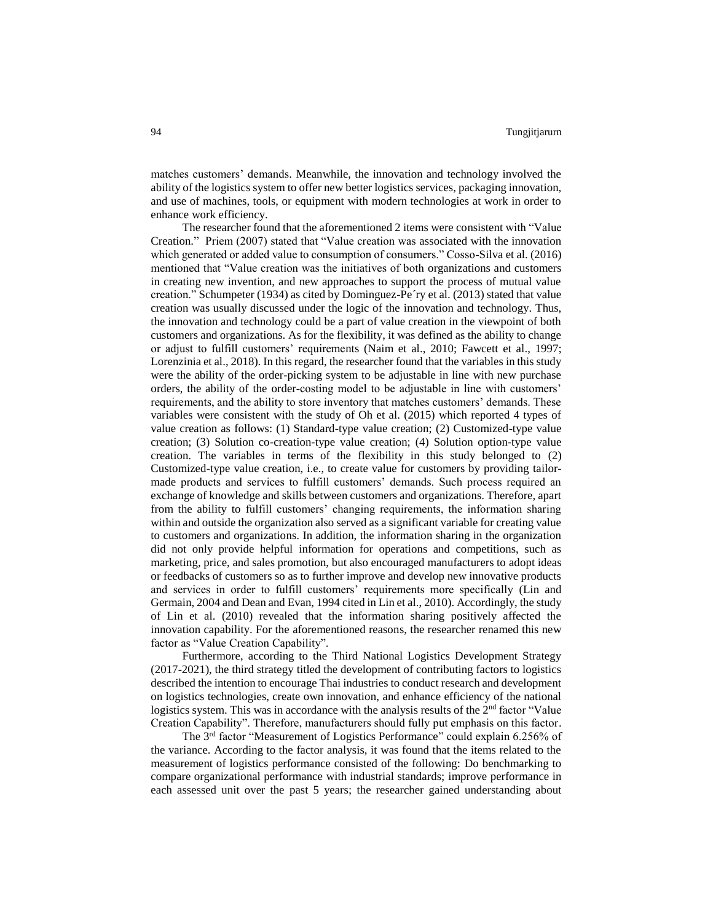matches customers' demands. Meanwhile, the innovation and technology involved the ability of the logistics system to offer new better logistics services, packaging innovation, and use of machines, tools, or equipment with modern technologies at work in order to enhance work efficiency.

The researcher found that the aforementioned 2 items were consistent with "Value Creation." Priem (2007) stated that "Value creation was associated with the innovation which generated or added value to consumption of consumers." Cosso-Silva et al. (2016) mentioned that "Value creation was the initiatives of both organizations and customers in creating new invention, and new approaches to support the process of mutual value creation." Schumpeter (1934) as cited by Dominguez-Pe´ry et al. (2013) stated that value creation was usually discussed under the logic of the innovation and technology. Thus, the innovation and technology could be a part of value creation in the viewpoint of both customers and organizations. As for the flexibility, it was defined as the ability to change or adjust to fulfill customers' requirements (Naim et al., 2010; Fawcett et al., 1997; Lorenzinia et al., 2018). In this regard, the researcher found that the variables in this study were the ability of the order-picking system to be adjustable in line with new purchase orders, the ability of the order-costing model to be adjustable in line with customers' requirements, and the ability to store inventory that matches customers' demands. These variables were consistent with the study of Oh et al. (2015) which reported 4 types of value creation as follows: (1) Standard-type value creation; (2) Customized-type value creation; (3) Solution co-creation-type value creation; (4) Solution option-type value creation. The variables in terms of the flexibility in this study belonged to (2) Customized-type value creation, i.e., to create value for customers by providing tailormade products and services to fulfill customers' demands. Such process required an exchange of knowledge and skills between customers and organizations. Therefore, apart from the ability to fulfill customers' changing requirements, the information sharing within and outside the organization also served as a significant variable for creating value to customers and organizations. In addition, the information sharing in the organization did not only provide helpful information for operations and competitions, such as marketing, price, and sales promotion, but also encouraged manufacturers to adopt ideas or feedbacks of customers so as to further improve and develop new innovative products and services in order to fulfill customers' requirements more specifically (Lin and Germain, 2004 and Dean and Evan, 1994 cited in Lin et al., 2010). Accordingly, the study of Lin et al. (2010) revealed that the information sharing positively affected the innovation capability. For the aforementioned reasons, the researcher renamed this new factor as "Value Creation Capability".

Furthermore, according to the Third National Logistics Development Strategy (2017-2021), the third strategy titled the development of contributing factors to logistics described the intention to encourage Thai industries to conduct research and development on logistics technologies, create own innovation, and enhance efficiency of the national logistics system. This was in accordance with the analysis results of the  $2<sup>nd</sup>$  factor "Value" Creation Capability". Therefore, manufacturers should fully put emphasis on this factor.

The 3rd factor "Measurement of Logistics Performance" could explain 6.256% of the variance. According to the factor analysis, it was found that the items related to the measurement of logistics performance consisted of the following: Do benchmarking to compare organizational performance with industrial standards; improve performance in each assessed unit over the past 5 years; the researcher gained understanding about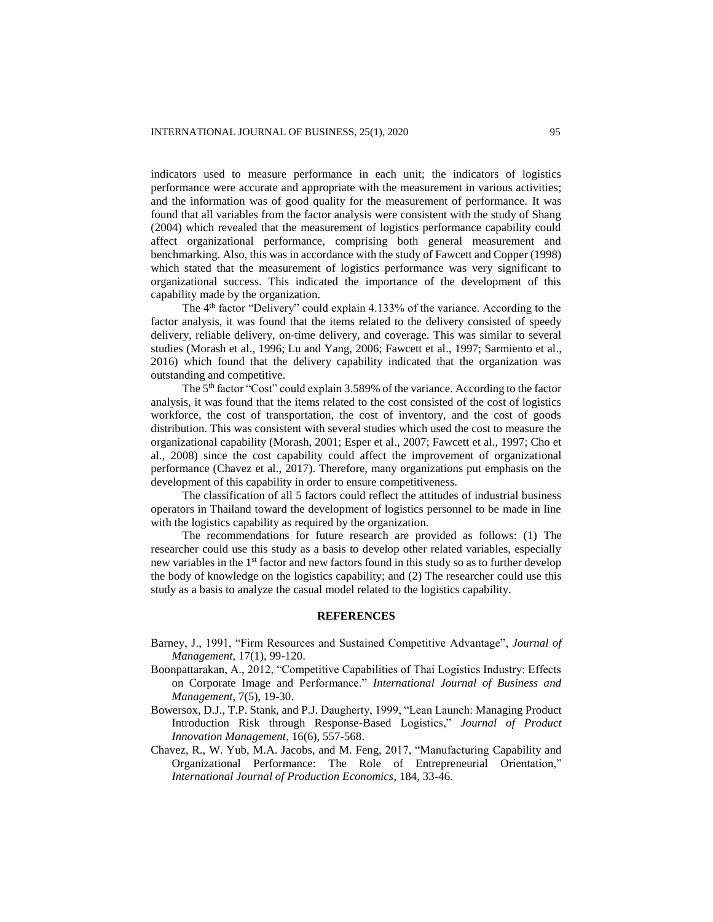indicators used to measure performance in each unit; the indicators of logistics performance were accurate and appropriate with the measurement in various activities; and the information was of good quality for the measurement of performance. It was found that all variables from the factor analysis were consistent with the study of Shang (2004) which revealed that the measurement of logistics performance capability could affect organizational performance, comprising both general measurement and benchmarking. Also, this was in accordance with the study of Fawcett and Copper (1998) which stated that the measurement of logistics performance was very significant to organizational success. This indicated the importance of the development of this capability made by the organization.

The 4<sup>th</sup> factor "Delivery" could explain 4.133% of the variance. According to the factor analysis, it was found that the items related to the delivery consisted of speedy delivery, reliable delivery, on-time delivery, and coverage. This was similar to several studies (Morash et al., 1996; Lu and Yang, 2006; Fawcett et al., 1997; Sarmiento et al., 2016) which found that the delivery capability indicated that the organization was outstanding and competitive.

The 5<sup>th</sup> factor "Cost" could explain 3.589% of the variance. According to the factor analysis, it was found that the items related to the cost consisted of the cost of logistics workforce, the cost of transportation, the cost of inventory, and the cost of goods distribution. This was consistent with several studies which used the cost to measure the organizational capability (Morash, 2001; Esper et al., 2007; Fawcett et al., 1997; Cho et al., 2008) since the cost capability could affect the improvement of organizational performance (Chavez et al., 2017). Therefore, many organizations put emphasis on the development of this capability in order to ensure competitiveness.

The classification of all 5 factors could reflect the attitudes of industrial business operators in Thailand toward the development of logistics personnel to be made in line with the logistics capability as required by the organization.

The recommendations for future research are provided as follows: (1) The researcher could use this study as a basis to develop other related variables, especially new variables in the 1st factor and new factors found in this study so as to further develop the body of knowledge on the logistics capability; and (2) The researcher could use this study as a basis to analyze the casual model related to the logistics capability.

#### **REFERENCES**

- Barney, J., 1991, "Firm Resources and Sustained Competitive Advantage", *Journal of Management*, 17(1), 99-120.
- Boonpattarakan, A., 2012, "Competitive Capabilities of Thai Logistics Industry: Effects on Corporate Image and Performance." *International Journal of Business and Management*, 7(5), 19-30.
- Bowersox, D.J., T.P. Stank, and P.J. Daugherty, 1999, "Lean Launch: Managing Product Introduction Risk through Response-Based Logistics," *Journal of Product Innovation Management*, 16(6), 557-568.
- Chavez, R., W. Yub, M.A. Jacobs, and M. Feng, 2017, "Manufacturing Capability and Organizational Performance: The Role of Entrepreneurial Orientation," *International Journal of Production Economics*, 184, 33-46.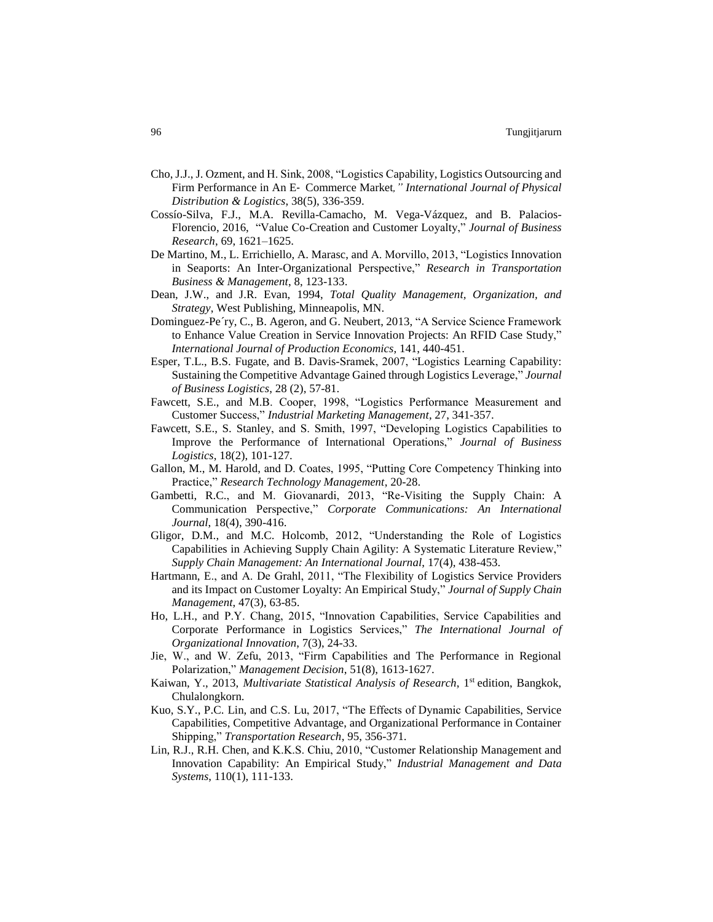- Cho, J.J., J. Ozment, and H. Sink, 2008, "Logistics Capability, Logistics Outsourcing and Firm Performance in An E‐ Commerce Market*," International Journal of Physical Distribution & Logistics*, 38(5), 336-359.
- Cossío-Silva, F.J., M.A. Revilla-Camacho, M. Vega-Vázquez, and B. Palacios-Florencio, 2016, "Value Co-Creation and Customer Loyalty," *Journal of Business Research*, 69, 1621–1625.
- De Martino, M., L. Errichiello, A. Marasc, and A. Morvillo, 2013, "Logistics Innovation in Seaports: An Inter-Organizational Perspective," *Research in Transportation Business & Management*, 8, 123-133.
- Dean, J.W., and J.R. Evan, 1994, *Total Quality Management, Organization, and Strategy*, West Publishing, Minneapolis, MN.
- Dominguez-Pe´ry, C., B. Ageron, and G. Neubert, 2013, "A Service Science Framework to Enhance Value Creation in Service Innovation Projects: An RFID Case Study," *International Journal of Production Economics*, 141, 440-451.
- Esper, T.L., B.S. Fugate, and B. Davis-Sramek, 2007, "Logistics Learning Capability: Sustaining the Competitive Advantage Gained through Logistics Leverage," *Journal of Business Logistics*, 28 (2), 57-81.
- Fawcett, S.E., and M.B. Cooper, 1998, "Logistics Performance Measurement and Customer Success," *Industrial Marketing Management*, 27, 341-357.
- Fawcett, S.E., S. Stanley, and S. Smith, 1997, "Developing Logistics Capabilities to Improve the Performance of International Operations," *Journal of Business Logistics*, 18(2), 101-127.
- Gallon, M., M. Harold, and D. Coates, 1995, "Putting Core Competency Thinking into Practice," *Research Technology Management*, 20-28.
- Gambetti, R.C., and M. Giovanardi, 2013, "Re-Visiting the Supply Chain: A Communication Perspective," *Corporate Communications: An International Journal*, 18(4), 390-416.
- Gligor, D.M., and M.C. Holcomb, 2012, "Understanding the Role of Logistics Capabilities in Achieving Supply Chain Agility: A Systematic Literature Review," *Supply Chain Management: An International Journal*, 17(4), 438-453.
- Hartmann, E., and A. De Grahl, 2011, "The Flexibility of Logistics Service Providers and its Impact on Customer Loyalty: An Empirical Study," *Journal of Supply Chain Management*, 47(3), 63-85.
- Ho, L.H., and P.Y. Chang, 2015, "Innovation Capabilities, Service Capabilities and Corporate Performance in Logistics Services," *The International Journal of Organizational Innovation*, 7(3), 24-33.
- Jie, W., and W. Zefu, 2013, "Firm Capabilities and The Performance in Regional Polarization," *Management Decision*, 51(8), 1613-1627.
- Kaiwan, Y., 2013, *Multivariate Statistical Analysis of Research*, 1st edition, Bangkok, Chulalongkorn.
- Kuo, S.Y., P.C. Lin, and C.S. Lu, 2017, "The Effects of Dynamic Capabilities, Service Capabilities, Competitive Advantage, and Organizational Performance in Container Shipping," *Transportation Research*, 95, 356-371.
- Lin, R.J., R.H. Chen, and K.K.S. Chiu, 2010, "Customer Relationship Management and Innovation Capability: An Empirical Study," *Industrial Management and Data Systems*, 110(1), 111-133.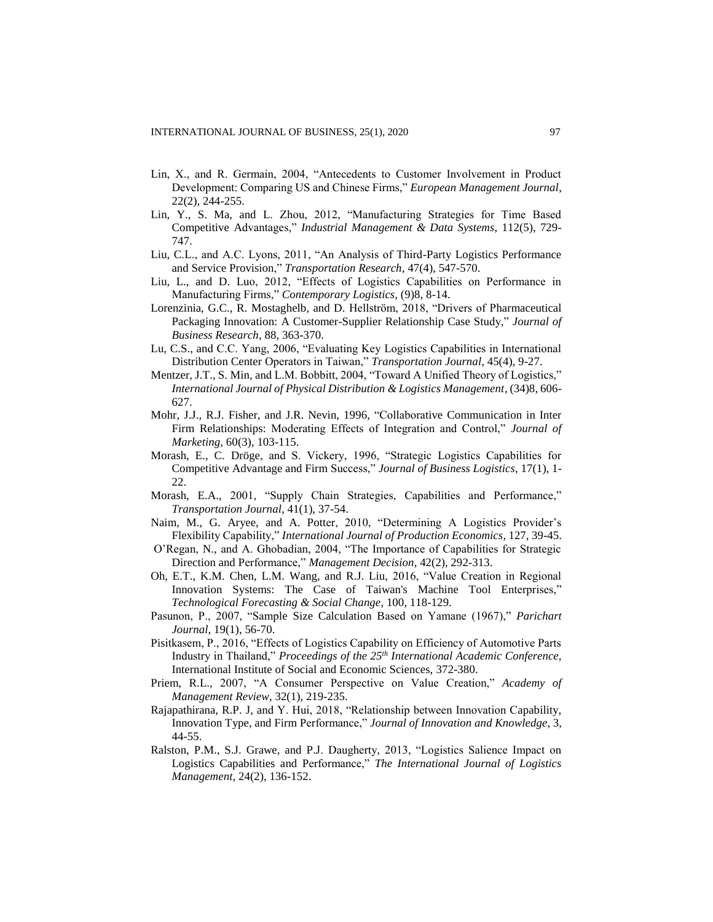- Lin, X., and R. Germain, 2004, "Antecedents to Customer Involvement in Product Development: Comparing US and Chinese Firms," *European Management Journal*, 22(2), 244-255.
- Lin, Y., S. Ma, and L. Zhou, 2012, "Manufacturing Strategies for Time Based Competitive Advantages," *Industrial Management & Data Systems*, 112(5), 729- 747.
- Liu, C.L., and A.C. Lyons, 2011, "An Analysis of Third-Party Logistics Performance and Service Provision," *Transportation Research*, 47(4), 547-570.
- Liu, L., and D. Luo, 2012, "Effects of Logistics Capabilities on Performance in Manufacturing Firms," *Contemporary Logistics*, (9)8, 8-14.
- Lorenzinia, G.C., R. Mostaghelb, and D. Hellström, 2018, "Drivers of Pharmaceutical Packaging Innovation: A Customer-Supplier Relationship Case Study," *Journal of Business Research*, 88, 363-370.
- Lu, C.S., and C.C. Yang, 2006, "Evaluating Key Logistics Capabilities in International Distribution Center Operators in Taiwan," *Transportation Journal*, 45(4), 9-27.
- Mentzer, J.T., S. Min, and L.M. Bobbitt, 2004, "Toward A Unified Theory of Logistics," *International Journal of Physical Distribution & Logistics Management*, (34)8, 606- 627.
- Mohr, J.J., R.J. Fisher, and J.R. Nevin, 1996, "Collaborative Communication in Inter Firm Relationships: Moderating Effects of Integration and Control," *Journal of Marketing*, 60(3), 103-115.
- Morash, E., C. Dröge, and S. Vickery, 1996, "Strategic Logistics Capabilities for Competitive Advantage and Firm Success," *Journal of Business Logistics*, 17(1), 1- 22.
- Morash, E.A., 2001, "Supply Chain Strategies, Capabilities and Performance," *Transportation Journal*, 41(1), 37-54.
- Naim, M., G. Aryee, and A. Potter, 2010, "Determining A Logistics Provider's Flexibility Capability," *International Journal of Production Economics*, 127, 39-45.
- O'Regan, N., and A. Ghobadian, 2004, "The Importance of Capabilities for Strategic Direction and Performance," *Management Decision*, 42(2), 292-313.
- Oh, E.T., K.M. Chen, L.M. Wang, and R.J. Liu, 2016, "Value Creation in Regional Innovation Systems: The Case of Taiwan's Machine Tool Enterprises," *Technological Forecasting & Social Change*, 100, 118-129.
- Pasunon, P., 2007, "Sample Size Calculation Based on Yamane (1967)," *Parichart Journal*, 19(1), 56-70.
- Pisitkasem, P., 2016, "Effects of Logistics Capability on Efficiency of Automotive Parts Industry in Thailand," *Proceedings of the 25th International Academic Conference,*  International Institute of Social and Economic Sciences, 372-380.
- Priem, R.L., 2007, "A Consumer Perspective on Value Creation," *Academy of Management Review*, 32(1), 219-235.
- Rajapathirana, R.P. J, and Y. Hui, 2018, "Relationship between Innovation Capability, Innovation Type, and Firm Performance," *Journal of Innovation and Knowledge*, 3, 44-55.
- Ralston, P.M., S.J. Grawe, and P.J. Daugherty, 2013, "Logistics Salience Impact on Logistics Capabilities and Performance," *The International Journal of Logistics Management*, 24(2), 136-152.